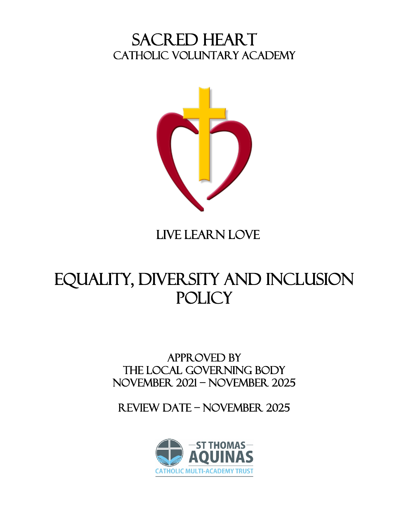# SACRED HEART<br>CATHOLIC VOLUNTARY ACADEMY



# LIVE LEARN LOVE

# Equality, Diversity and Inclusion **POLICY**

# APPROVED BY THE local GOVERNING BODY NOVEMBER 2021 – NOVEMBER 2025

Review date – NOVEMBER 2025

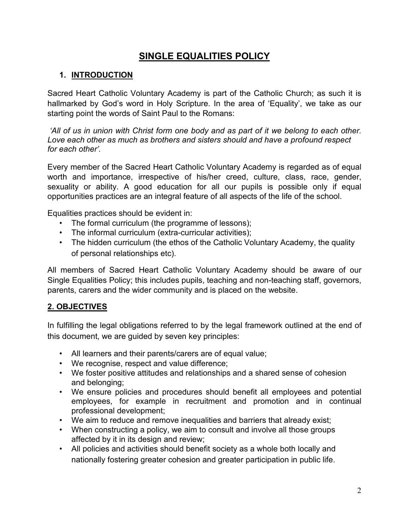# **SINGLE EQUALITIES POLICY**

#### **1. INTRODUCTION**

Sacred Heart Catholic Voluntary Academy is part of the Catholic Church; as such it is hallmarked by God's word in Holy Scripture. In the area of 'Equality', we take as our starting point the words of Saint Paul to the Romans:

*'All of us in union with Christ form one body and as part of it we belong to each other. Love each other as much as brothers and sisters should and have a profound respect for each other'.*

Every member of the Sacred Heart Catholic Voluntary Academy is regarded as of equal worth and importance, irrespective of his/her creed, culture, class, race, gender, sexuality or ability. A good education for all our pupils is possible only if equal opportunities practices are an integral feature of all aspects of the life of the school.

Equalities practices should be evident in:

- The formal curriculum (the programme of lessons);
- The informal curriculum (extra-curricular activities);
- The hidden curriculum (the ethos of the Catholic Voluntary Academy, the quality of personal relationships etc).

All members of Sacred Heart Catholic Voluntary Academy should be aware of our Single Equalities Policy; this includes pupils, teaching and non-teaching staff, governors, parents, carers and the wider community and is placed on the website.

#### **2. OBJECTIVES**

In fulfilling the legal obligations referred to by the legal framework outlined at the end of this document, we are guided by seven key principles:

- All learners and their parents/carers are of equal value;
- We recognise, respect and value difference;
- We foster positive attitudes and relationships and a shared sense of cohesion and belonging;
- We ensure policies and procedures should benefit all employees and potential employees, for example in recruitment and promotion and in continual professional development;
- We aim to reduce and remove inequalities and barriers that already exist;
- When constructing a policy, we aim to consult and involve all those groups affected by it in its design and review;
- All policies and activities should benefit society as a whole both locally and nationally fostering greater cohesion and greater participation in public life.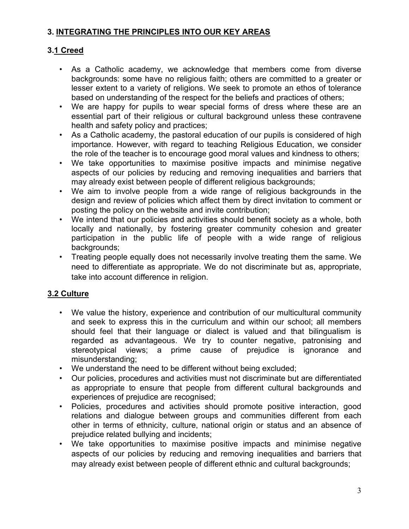#### **3. INTEGRATING THE PRINCIPLES INTO OUR KEY AREAS**

#### **3.1 Creed**

- As a Catholic academy, we acknowledge that members come from diverse backgrounds: some have no religious faith; others are committed to a greater or lesser extent to a variety of religions. We seek to promote an ethos of tolerance based on understanding of the respect for the beliefs and practices of others;
- We are happy for pupils to wear special forms of dress where these are an essential part of their religious or cultural background unless these contravene health and safety policy and practices;
- As a Catholic academy, the pastoral education of our pupils is considered of high importance. However, with regard to teaching Religious Education, we consider the role of the teacher is to encourage good moral values and kindness to others;
- We take opportunities to maximise positive impacts and minimise negative aspects of our policies by reducing and removing inequalities and barriers that may already exist between people of different religious backgrounds;
- We aim to involve people from a wide range of religious backgrounds in the design and review of policies which affect them by direct invitation to comment or posting the policy on the website and invite contribution;
- We intend that our policies and activities should benefit society as a whole, both locally and nationally, by fostering greater community cohesion and greater participation in the public life of people with a wide range of religious backgrounds;
- Treating people equally does not necessarily involve treating them the same. We need to differentiate as appropriate. We do not discriminate but as, appropriate, take into account difference in religion.

# **3.2 Culture**

- We value the history, experience and contribution of our multicultural community and seek to express this in the curriculum and within our school; all members should feel that their language or dialect is valued and that bilingualism is regarded as advantageous. We try to counter negative, patronising and stereotypical views; a prime cause of prejudice is ignorance and misunderstanding;
- We understand the need to be different without being excluded;
- Our policies, procedures and activities must not discriminate but are differentiated as appropriate to ensure that people from different cultural backgrounds and experiences of prejudice are recognised;
- Policies, procedures and activities should promote positive interaction, good relations and dialogue between groups and communities different from each other in terms of ethnicity, culture, national origin or status and an absence of prejudice related bullying and incidents;
- We take opportunities to maximise positive impacts and minimise negative aspects of our policies by reducing and removing inequalities and barriers that may already exist between people of different ethnic and cultural backgrounds;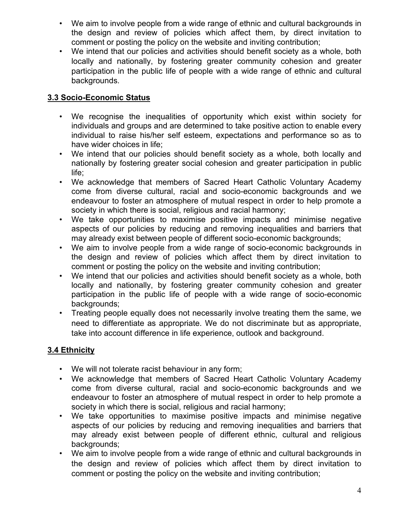- We aim to involve people from a wide range of ethnic and cultural backgrounds in the design and review of policies which affect them, by direct invitation to comment or posting the policy on the website and inviting contribution;
- We intend that our policies and activities should benefit society as a whole, both locally and nationally, by fostering greater community cohesion and greater participation in the public life of people with a wide range of ethnic and cultural backgrounds.

## **3.3 Socio-Economic Status**

- We recognise the inequalities of opportunity which exist within society for individuals and groups and are determined to take positive action to enable every individual to raise his/her self esteem, expectations and performance so as to have wider choices in life;
- We intend that our policies should benefit society as a whole, both locally and nationally by fostering greater social cohesion and greater participation in public life;
- We acknowledge that members of Sacred Heart Catholic Voluntary Academy come from diverse cultural, racial and socio-economic backgrounds and we endeavour to foster an atmosphere of mutual respect in order to help promote a society in which there is social, religious and racial harmony;
- We take opportunities to maximise positive impacts and minimise negative aspects of our policies by reducing and removing inequalities and barriers that may already exist between people of different socio-economic backgrounds;
- We aim to involve people from a wide range of socio-economic backgrounds in the design and review of policies which affect them by direct invitation to comment or posting the policy on the website and inviting contribution;
- We intend that our policies and activities should benefit society as a whole, both locally and nationally, by fostering greater community cohesion and greater participation in the public life of people with a wide range of socio-economic backgrounds;
- Treating people equally does not necessarily involve treating them the same, we need to differentiate as appropriate. We do not discriminate but as appropriate, take into account difference in life experience, outlook and background.

# **3.4 Ethnicity**

- We will not tolerate racist behaviour in any form;
- We acknowledge that members of Sacred Heart Catholic Voluntary Academy come from diverse cultural, racial and socio-economic backgrounds and we endeavour to foster an atmosphere of mutual respect in order to help promote a society in which there is social, religious and racial harmony;
- We take opportunities to maximise positive impacts and minimise negative aspects of our policies by reducing and removing inequalities and barriers that may already exist between people of different ethnic, cultural and religious backgrounds;
- We aim to involve people from a wide range of ethnic and cultural backgrounds in the design and review of policies which affect them by direct invitation to comment or posting the policy on the website and inviting contribution;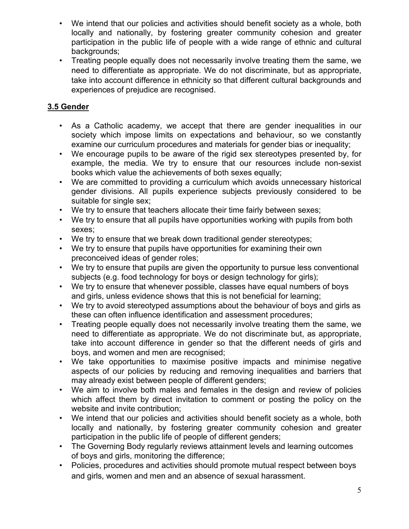- We intend that our policies and activities should benefit society as a whole, both locally and nationally, by fostering greater community cohesion and greater participation in the public life of people with a wide range of ethnic and cultural backgrounds;
- Treating people equally does not necessarily involve treating them the same, we need to differentiate as appropriate. We do not discriminate, but as appropriate, take into account difference in ethnicity so that different cultural backgrounds and experiences of prejudice are recognised.

# **3.5 Gender**

- As a Catholic academy, we accept that there are gender inequalities in our society which impose limits on expectations and behaviour, so we constantly examine our curriculum procedures and materials for gender bias or inequality;
- We encourage pupils to be aware of the rigid sex stereotypes presented by, for example, the media. We try to ensure that our resources include non-sexist books which value the achievements of both sexes equally;
- We are committed to providing a curriculum which avoids unnecessary historical gender divisions. All pupils experience subjects previously considered to be suitable for single sex;
- We try to ensure that teachers allocate their time fairly between sexes;
- We try to ensure that all pupils have opportunities working with pupils from both sexes;
- We try to ensure that we break down traditional gender stereotypes;
- We try to ensure that pupils have opportunities for examining their own preconceived ideas of gender roles;
- We try to ensure that pupils are given the opportunity to pursue less conventional subjects (e.g. food technology for boys or design technology for girls);
- We try to ensure that whenever possible, classes have equal numbers of boys and girls, unless evidence shows that this is not beneficial for learning;
- We try to avoid stereotyped assumptions about the behaviour of boys and girls as these can often influence identification and assessment procedures;
- Treating people equally does not necessarily involve treating them the same, we need to differentiate as appropriate. We do not discriminate but, as appropriate, take into account difference in gender so that the different needs of girls and boys, and women and men are recognised;
- We take opportunities to maximise positive impacts and minimise negative aspects of our policies by reducing and removing inequalities and barriers that may already exist between people of different genders;
- We aim to involve both males and females in the design and review of policies which affect them by direct invitation to comment or posting the policy on the website and invite contribution;
- We intend that our policies and activities should benefit society as a whole, both locally and nationally, by fostering greater community cohesion and greater participation in the public life of people of different genders;
- The Governing Body regularly reviews attainment levels and learning outcomes of boys and girls, monitoring the difference;
- Policies, procedures and activities should promote mutual respect between boys and girls, women and men and an absence of sexual harassment.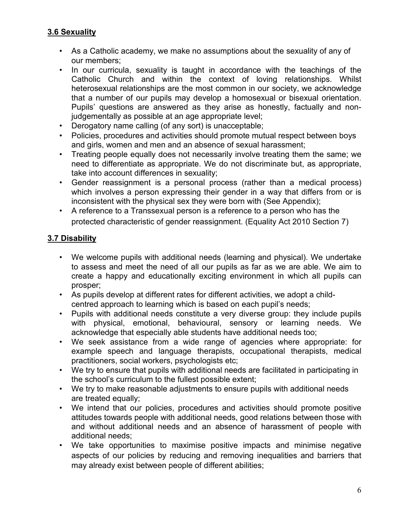#### **3.6 Sexuality**

- As a Catholic academy, we make no assumptions about the sexuality of any of our members;
- In our curricula, sexuality is taught in accordance with the teachings of the Catholic Church and within the context of loving relationships. Whilst heterosexual relationships are the most common in our society, we acknowledge that a number of our pupils may develop a homosexual or bisexual orientation. Pupils' questions are answered as they arise as honestly, factually and nonjudgementally as possible at an age appropriate level;
- Derogatory name calling (of any sort) is unacceptable;
- Policies, procedures and activities should promote mutual respect between boys and girls, women and men and an absence of sexual harassment;
- Treating people equally does not necessarily involve treating them the same; we need to differentiate as appropriate. We do not discriminate but, as appropriate, take into account differences in sexuality;
- Gender reassignment is a personal process (rather than a medical process) which involves a person expressing their gender in a way that differs from or is inconsistent with the physical sex they were born with (See Appendix);
- A reference to a Transsexual person is a reference to a person who has the protected characteristic of gender reassignment. (Equality Act 2010 Section 7)

#### **3.7 Disability**

- We welcome pupils with additional needs (learning and physical). We undertake to assess and meet the need of all our pupils as far as we are able. We aim to create a happy and educationally exciting environment in which all pupils can prosper;
- As pupils develop at different rates for different activities, we adopt a childcentred approach to learning which is based on each pupil's needs;
- Pupils with additional needs constitute a very diverse group: they include pupils with physical, emotional, behavioural, sensory or learning needs. We acknowledge that especially able students have additional needs too;
- We seek assistance from a wide range of agencies where appropriate: for example speech and language therapists, occupational therapists, medical practitioners, social workers, psychologists etc;
- We try to ensure that pupils with additional needs are facilitated in participating in the school's curriculum to the fullest possible extent;
- We try to make reasonable adjustments to ensure pupils with additional needs are treated equally;
- We intend that our policies, procedures and activities should promote positive attitudes towards people with additional needs, good relations between those with and without additional needs and an absence of harassment of people with additional needs;
- We take opportunities to maximise positive impacts and minimise negative aspects of our policies by reducing and removing inequalities and barriers that may already exist between people of different abilities;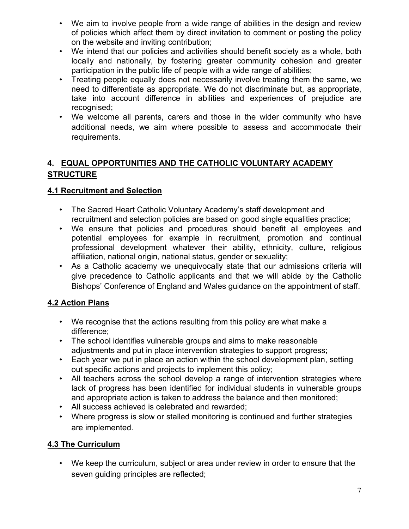- We aim to involve people from a wide range of abilities in the design and review of policies which affect them by direct invitation to comment or posting the policy on the website and inviting contribution;
- We intend that our policies and activities should benefit society as a whole, both locally and nationally, by fostering greater community cohesion and greater participation in the public life of people with a wide range of abilities;
- Treating people equally does not necessarily involve treating them the same, we need to differentiate as appropriate. We do not discriminate but, as appropriate, take into account difference in abilities and experiences of prejudice are recognised:
- We welcome all parents, carers and those in the wider community who have additional needs, we aim where possible to assess and accommodate their requirements.

# **4. EQUAL OPPORTUNITIES AND THE CATHOLIC VOLUNTARY ACADEMY STRUCTURE**

## **4.1 Recruitment and Selection**

- The Sacred Heart Catholic Voluntary Academy's staff development and recruitment and selection policies are based on good single equalities practice;
- We ensure that policies and procedures should benefit all employees and potential employees for example in recruitment, promotion and continual professional development whatever their ability, ethnicity, culture, religious affiliation, national origin, national status, gender or sexuality;
- As a Catholic academy we unequivocally state that our admissions criteria will give precedence to Catholic applicants and that we will abide by the Catholic Bishops' Conference of England and Wales guidance on the appointment of staff.

# **4.2 Action Plans**

- We recognise that the actions resulting from this policy are what make a difference;
- The school identifies vulnerable groups and aims to make reasonable adjustments and put in place intervention strategies to support progress;
- Each year we put in place an action within the school development plan, setting out specific actions and projects to implement this policy;
- All teachers across the school develop a range of intervention strategies where lack of progress has been identified for individual students in vulnerable groups and appropriate action is taken to address the balance and then monitored;
- All success achieved is celebrated and rewarded;
- Where progress is slow or stalled monitoring is continued and further strategies are implemented.

# **4.3 The Curriculum**

• We keep the curriculum, subject or area under review in order to ensure that the seven guiding principles are reflected;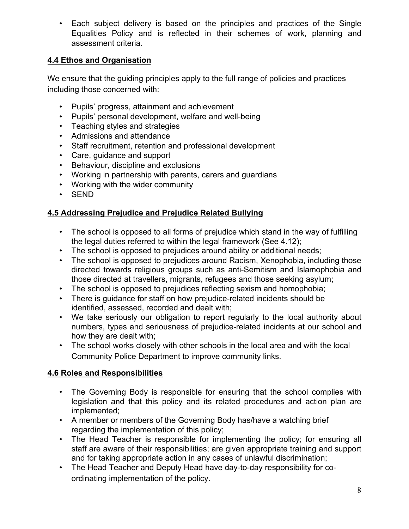• Each subject delivery is based on the principles and practices of the Single Equalities Policy and is reflected in their schemes of work, planning and assessment criteria.

## **4.4 Ethos and Organisation**

We ensure that the quiding principles apply to the full range of policies and practices including those concerned with:

- Pupils' progress, attainment and achievement
- Pupils' personal development, welfare and well-being
- Teaching styles and strategies
- Admissions and attendance
- Staff recruitment, retention and professional development
- Care, guidance and support
- Behaviour, discipline and exclusions
- Working in partnership with parents, carers and guardians
- Working with the wider community
- SEND

#### **4.5 Addressing Prejudice and Prejudice Related Bullying**

- The school is opposed to all forms of prejudice which stand in the way of fulfilling the legal duties referred to within the legal framework (See 4.12);
- The school is opposed to prejudices around ability or additional needs;
- The school is opposed to prejudices around Racism, Xenophobia, including those directed towards religious groups such as anti-Semitism and Islamophobia and those directed at travellers, migrants, refugees and those seeking asylum;
- The school is opposed to prejudices reflecting sexism and homophobia;
- There is guidance for staff on how prejudice-related incidents should be identified, assessed, recorded and dealt with;
- We take seriously our obligation to report regularly to the local authority about numbers, types and seriousness of prejudice-related incidents at our school and how they are dealt with;
- The school works closely with other schools in the local area and with the local Community Police Department to improve community links.

#### **4.6 Roles and Responsibilities**

- The Governing Body is responsible for ensuring that the school complies with legislation and that this policy and its related procedures and action plan are implemented;
- A member or members of the Governing Body has/have a watching brief regarding the implementation of this policy;
- The Head Teacher is responsible for implementing the policy; for ensuring all staff are aware of their responsibilities; are given appropriate training and support and for taking appropriate action in any cases of unlawful discrimination;
- The Head Teacher and Deputy Head have day-to-day responsibility for coordinating implementation of the policy.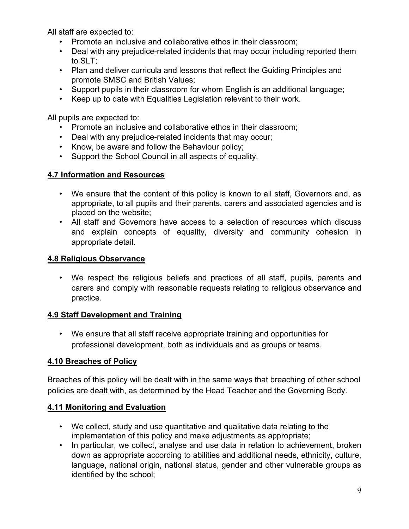All staff are expected to:

- Promote an inclusive and collaborative ethos in their classroom;
- Deal with any prejudice-related incidents that may occur including reported them to SLT;
- Plan and deliver curricula and lessons that reflect the Guiding Principles and promote SMSC and British Values;
- Support pupils in their classroom for whom English is an additional language;
- Keep up to date with Equalities Legislation relevant to their work.

All pupils are expected to:

- Promote an inclusive and collaborative ethos in their classroom;
- Deal with any prejudice-related incidents that may occur;
- Know, be aware and follow the Behaviour policy;
- Support the School Council in all aspects of equality.

#### **4.7 Information and Resources**

- We ensure that the content of this policy is known to all staff, Governors and, as appropriate, to all pupils and their parents, carers and associated agencies and is placed on the website;
- All staff and Governors have access to a selection of resources which discuss and explain concepts of equality, diversity and community cohesion in appropriate detail.

#### **4.8 Religious Observance**

• We respect the religious beliefs and practices of all staff, pupils, parents and carers and comply with reasonable requests relating to religious observance and practice.

#### **4.9 Staff Development and Training**

• We ensure that all staff receive appropriate training and opportunities for professional development, both as individuals and as groups or teams.

#### **4.10 Breaches of Policy**

Breaches of this policy will be dealt with in the same ways that breaching of other school policies are dealt with, as determined by the Head Teacher and the Governing Body.

#### **4.11 Monitoring and Evaluation**

- We collect, study and use quantitative and qualitative data relating to the implementation of this policy and make adjustments as appropriate;
- In particular, we collect, analyse and use data in relation to achievement, broken down as appropriate according to abilities and additional needs, ethnicity, culture, language, national origin, national status, gender and other vulnerable groups as identified by the school;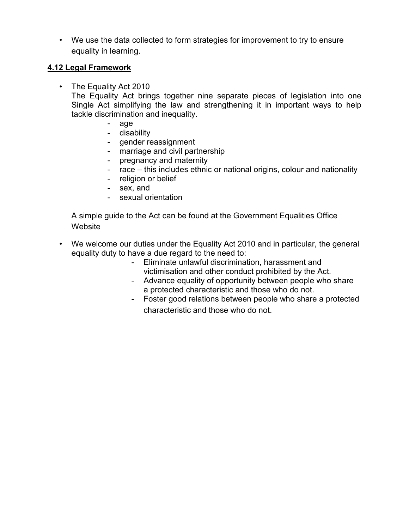• We use the data collected to form strategies for improvement to try to ensure equality in learning.

#### **4.12 Legal Framework**

• The Equality Act 2010

The Equality Act brings together nine separate pieces of legislation into one Single Act simplifying the law and strengthening it in important ways to help tackle discrimination and inequality.

- age
- disability
- gender reassignment
- marriage and civil partnership
- pregnancy and maternity
- race this includes ethnic or national origins, colour and nationality
- religion or belief
- sex, and
- sexual orientation

A simple guide to the Act can be found at the Government Equalities Office **Website** 

- We welcome our duties under the Equality Act 2010 and in particular, the general equality duty to have a due regard to the need to:
	- Eliminate unlawful discrimination, harassment and victimisation and other conduct prohibited by the Act.
	- Advance equality of opportunity between people who share a protected characteristic and those who do not.
	- Foster good relations between people who share a protected characteristic and those who do not.